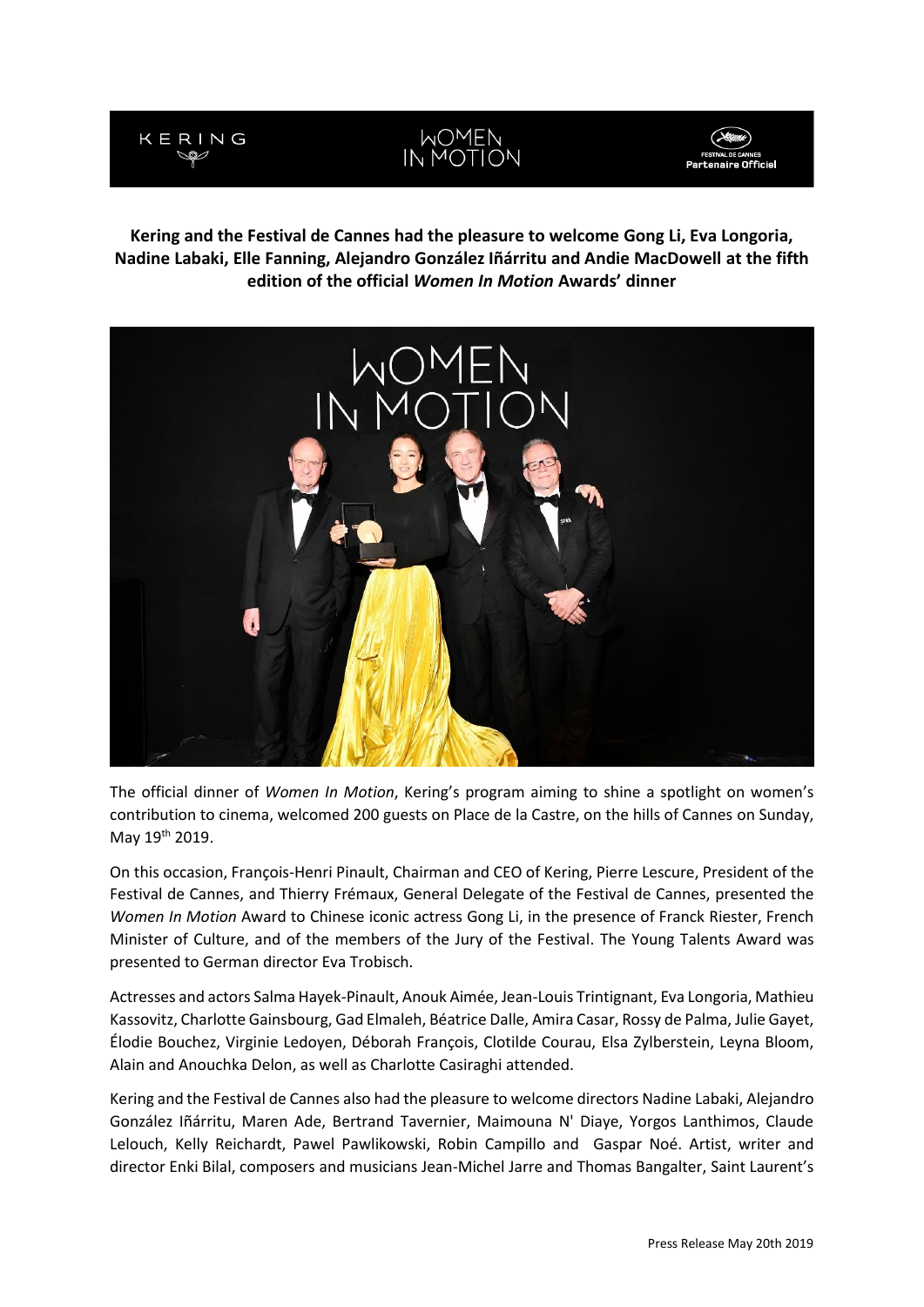

# MOMEN<br>IN MOTION



**Kering and the Festival de Cannes had the pleasure to welcome Gong Li, Eva Longoria, Nadine Labaki, Elle Fanning, Alejandro González Iñárritu and Andie MacDowell at the fifth edition of the official** *Women In Motion* **Awards' dinner**



The official dinner of *Women In Motion*, Kering's program aiming to shine a spotlight on women's contribution to cinema, welcomed 200 guests on Place de la Castre, on the hills of Cannes on Sunday, May 19th 2019.

On this occasion, François-Henri Pinault, Chairman and CEO of Kering, Pierre Lescure, President of the Festival de Cannes, and Thierry Frémaux, General Delegate of the Festival de Cannes, presented the *Women In Motion* Award to Chinese iconic actress Gong Li, in the presence of Franck Riester, French Minister of Culture, and of the members of the Jury of the Festival. The Young Talents Award was presented to German director Eva Trobisch.

Actresses and actors Salma Hayek-Pinault, Anouk Aimée, Jean-Louis Trintignant, Eva Longoria, Mathieu Kassovitz, Charlotte Gainsbourg, Gad Elmaleh, Béatrice Dalle, Amira Casar, Rossy de Palma, Julie Gayet, Élodie Bouchez, Virginie Ledoyen, Déborah François, Clotilde Courau, Elsa Zylberstein, Leyna Bloom, Alain and Anouchka Delon, as well as Charlotte Casiraghi attended.

Kering and the Festival de Cannes also had the pleasure to welcome directors Nadine Labaki, Alejandro González Iñárritu, Maren Ade, Bertrand Tavernier, Maimouna N' Diaye, Yorgos Lanthimos, Claude Lelouch, Kelly Reichardt, Pawel Pawlikowski, Robin Campillo and Gaspar Noé. Artist, writer and director Enki Bilal, composers and musicians Jean-Michel Jarre and Thomas Bangalter, Saint Laurent's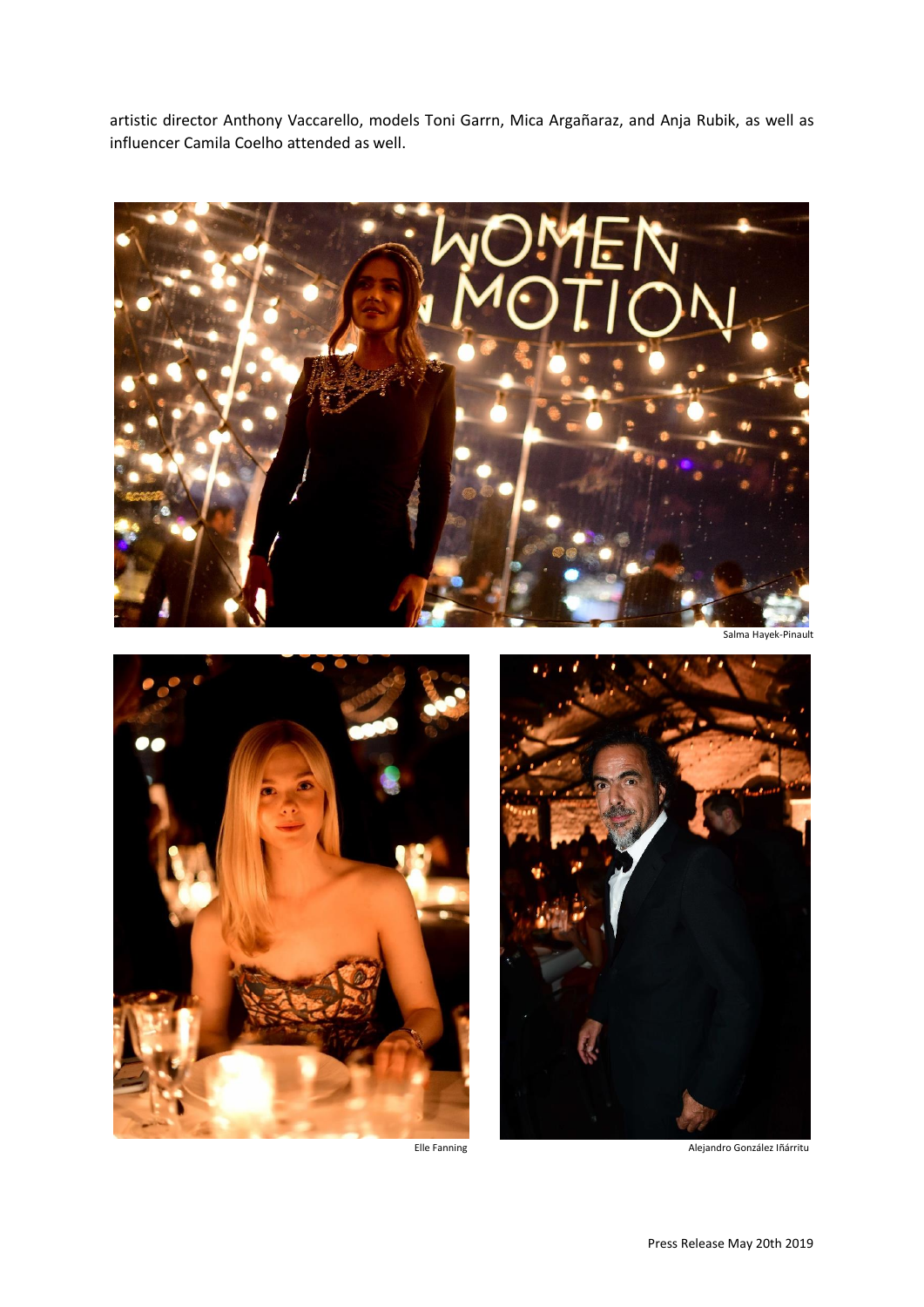artistic director Anthony Vaccarello, models Toni Garrn, Mica Argañaraz, and Anja Rubik, as well as influencer Camila Coelho attended as well.



Salma Hayek-Pinault



Elle Fanning Alejandro González Iñárritu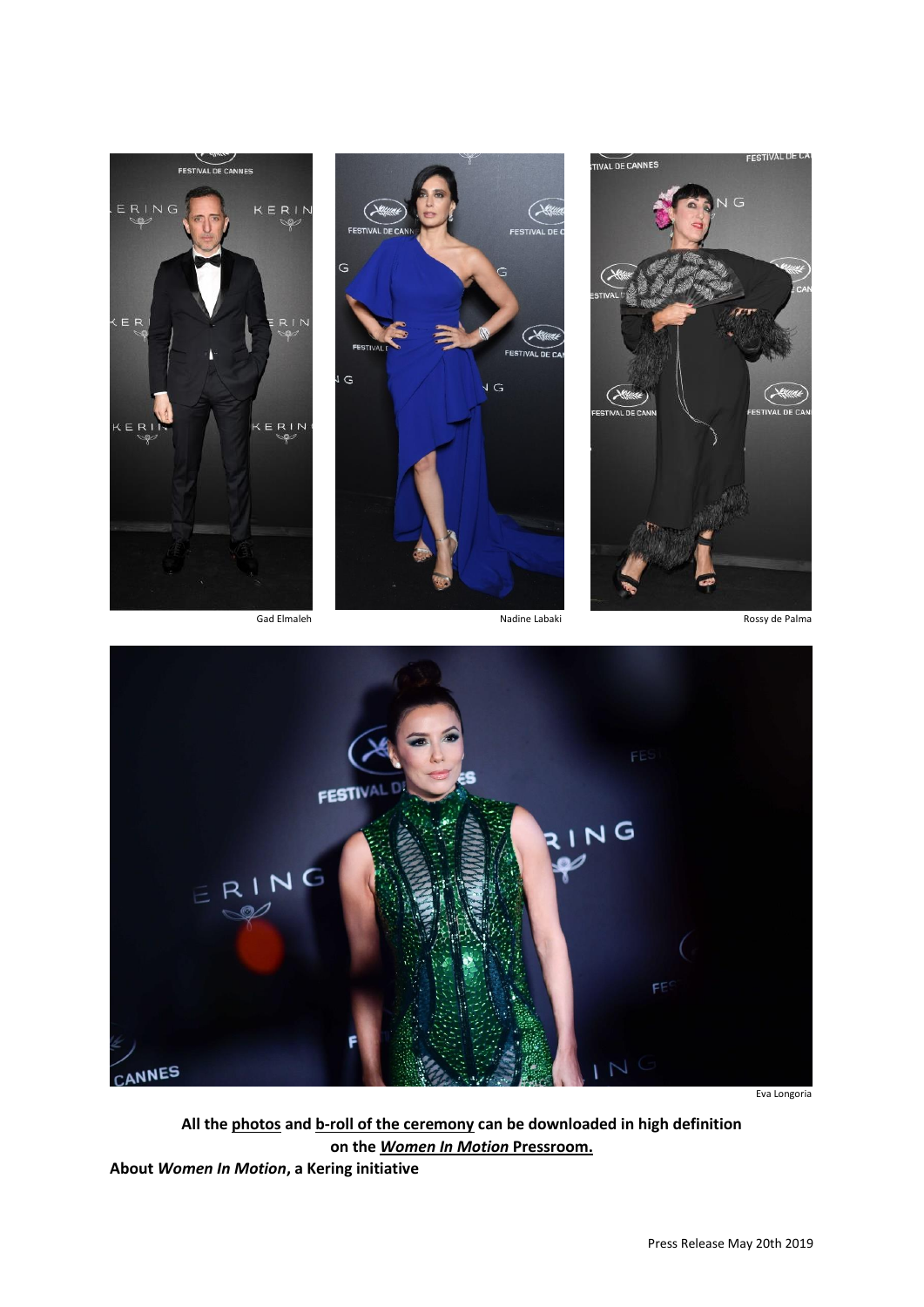







Eva Longoria

**All the [photos](https://press.womeninmotion.com/kering-and-the-festival-de-cannes-will-present-the-fifthnbspwomen-in-motion-award-to-actress-gong-linbspbr/) and [b-roll of the ceremony](https://press.womeninmotion.com/prix-diner-2019-2/) can be downloaded in high definition on the** *[Women In Motion](https://press.womeninmotion.com/prix-diner-2019/)* **Pressroom.**

**About** *Women In Motion***, a Kering initiative**